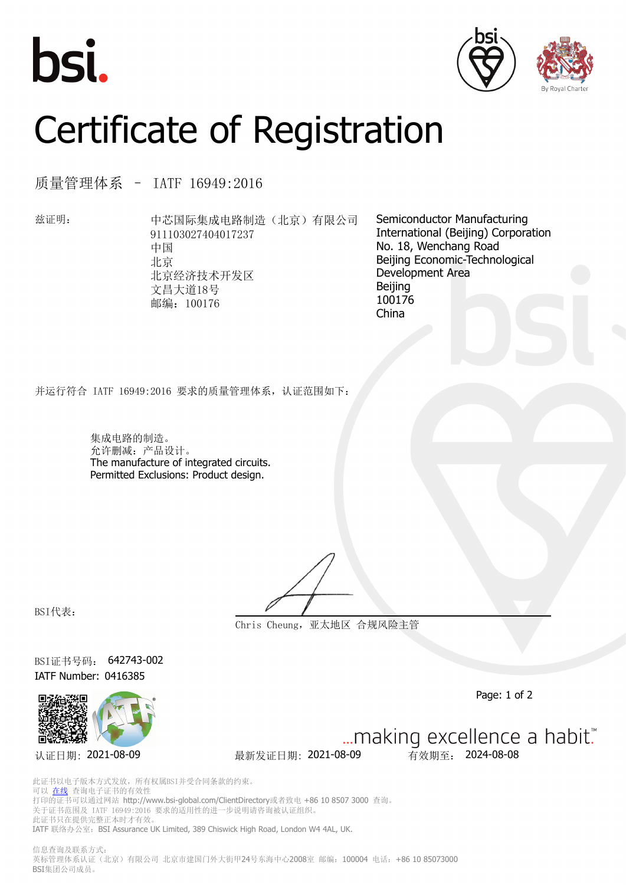





## Certificate of Registration

质量管理体系 – IATF 16949:2016

兹证明: 中芯国际集成电路制造(北京)有限公司 911103027404017237 中国 北京 北京经济技术开发区 文昌大道18号 邮编:100176

Semiconductor Manufacturing International (Beijing) Corporation No. 18, Wenchang Road Beijing Economic-Technological Development Area Beijing 100176 China

并运行符合 IATF 16949:2016 要求的质量管理体系,认证范围如下:

集成电路的制造。 允许删减:产品设计。 The manufacture of integrated circuits. Permitted Exclusions: Product design.

BSI代表:

**Chris Cheung,亚太地区 合规风险主管**

BSI证书号码: 642743-002 IATF Number: 0416385



... making excellence a habit." 认证日期: 2021-08-09 最新发证日期: 2021-08-09 有效期至: 2024-08-08

Page: 1 of 2

此证书以电子版本方式发放,所有权属BSI并受合同条款的约束。 可以 [在线](https://pgplus.bsigroup.com/CertificateValidation/CertificateValidator.aspx?CertificateNumber=642743-002&ReIssueDate=09%2f08%2f2021&Template=cn) 查询电子证书的有效性 打印的证书可以通过网站 http://www.bsi-global.com/ClientDirectory或者致电 +86 10 8507 3000 查询。 关于证书范围及 IATF 16949:2016 要求的适用性的进一步说明请咨询被认证组织。 此证书只在提供完整正本时才有效。 IATF 联络办公室: BSI Assurance UK Limited, 389 Chiswick High Road, London W4 4AL, UK.